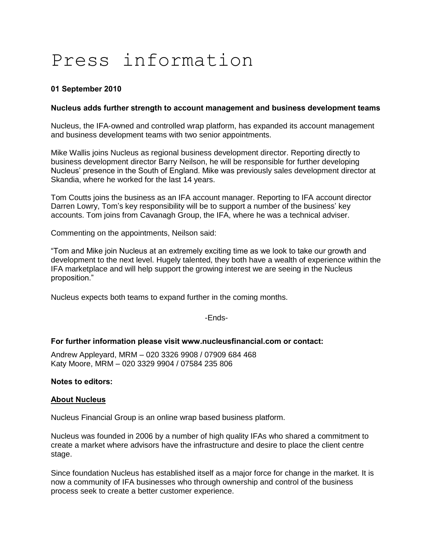# Press information

## **01 September 2010**

### **Nucleus adds further strength to account management and business development teams**

Nucleus, the IFA-owned and controlled wrap platform, has expanded its account management and business development teams with two senior appointments.

Mike Wallis joins Nucleus as regional business development director. Reporting directly to business development director Barry Neilson, he will be responsible for further developing Nucleus" presence in the South of England. Mike was previously sales development director at Skandia, where he worked for the last 14 years.

Tom Coutts joins the business as an IFA account manager. Reporting to IFA account director Darren Lowry, Tom's key responsibility will be to support a number of the business' key accounts. Tom joins from Cavanagh Group, the IFA, where he was a technical adviser.

Commenting on the appointments, Neilson said:

"Tom and Mike join Nucleus at an extremely exciting time as we look to take our growth and development to the next level. Hugely talented, they both have a wealth of experience within the IFA marketplace and will help support the growing interest we are seeing in the Nucleus proposition."

Nucleus expects both teams to expand further in the coming months.

-Ends-

### **For further information please visit www.nucleusfinancial.com or contact:**

Andrew Appleyard, MRM – 020 3326 9908 / 07909 684 468 Katy Moore, MRM – 020 3329 9904 / 07584 235 806

### **Notes to editors:**

### **About Nucleus**

Nucleus Financial Group is an online wrap based business platform.

Nucleus was founded in 2006 by a number of high quality IFAs who shared a commitment to create a market where advisors have the infrastructure and desire to place the client centre stage.

Since foundation Nucleus has established itself as a major force for change in the market. It is now a community of IFA businesses who through ownership and control of the business process seek to create a better customer experience.